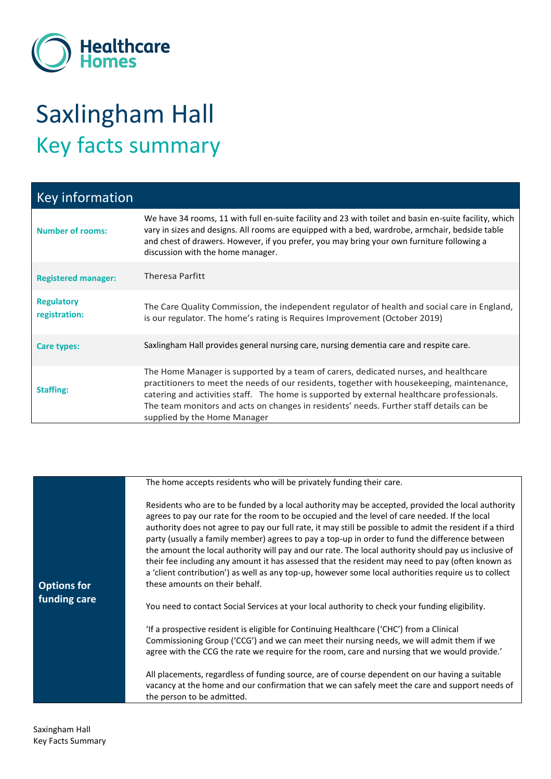

## Saxlingham Hall Key facts summary

| <b>Key information</b>             |                                                                                                                                                                                                                                                                                                                                                                                                            |
|------------------------------------|------------------------------------------------------------------------------------------------------------------------------------------------------------------------------------------------------------------------------------------------------------------------------------------------------------------------------------------------------------------------------------------------------------|
| <b>Number of rooms:</b>            | We have 34 rooms, 11 with full en-suite facility and 23 with toilet and basin en-suite facility, which<br>vary in sizes and designs. All rooms are equipped with a bed, wardrobe, armchair, bedside table<br>and chest of drawers. However, if you prefer, you may bring your own furniture following a<br>discussion with the home manager.                                                               |
| <b>Registered manager:</b>         | <b>Theresa Parfitt</b>                                                                                                                                                                                                                                                                                                                                                                                     |
| <b>Regulatory</b><br>registration: | The Care Quality Commission, the independent regulator of health and social care in England,<br>is our regulator. The home's rating is Requires Improvement (October 2019)                                                                                                                                                                                                                                 |
| Care types:                        | Saxlingham Hall provides general nursing care, nursing dementia care and respite care.                                                                                                                                                                                                                                                                                                                     |
| <b>Staffing:</b>                   | The Home Manager is supported by a team of carers, dedicated nurses, and healthcare<br>practitioners to meet the needs of our residents, together with housekeeping, maintenance,<br>catering and activities staff. The home is supported by external healthcare professionals.<br>The team monitors and acts on changes in residents' needs. Further staff details can be<br>supplied by the Home Manager |

|                                    | The home accepts residents who will be privately funding their care.                                                                                                                                                                                                                                                                                                                                                                                                                                                                                                                                                                                                                                                                                                   |
|------------------------------------|------------------------------------------------------------------------------------------------------------------------------------------------------------------------------------------------------------------------------------------------------------------------------------------------------------------------------------------------------------------------------------------------------------------------------------------------------------------------------------------------------------------------------------------------------------------------------------------------------------------------------------------------------------------------------------------------------------------------------------------------------------------------|
| <b>Options for</b><br>funding care | Residents who are to be funded by a local authority may be accepted, provided the local authority<br>agrees to pay our rate for the room to be occupied and the level of care needed. If the local<br>authority does not agree to pay our full rate, it may still be possible to admit the resident if a third<br>party (usually a family member) agrees to pay a top-up in order to fund the difference between<br>the amount the local authority will pay and our rate. The local authority should pay us inclusive of<br>their fee including any amount it has assessed that the resident may need to pay (often known as<br>a 'client contribution') as well as any top-up, however some local authorities require us to collect<br>these amounts on their behalf. |
|                                    | You need to contact Social Services at your local authority to check your funding eligibility.                                                                                                                                                                                                                                                                                                                                                                                                                                                                                                                                                                                                                                                                         |
|                                    | 'If a prospective resident is eligible for Continuing Healthcare ('CHC') from a Clinical<br>Commissioning Group ('CCG') and we can meet their nursing needs, we will admit them if we<br>agree with the CCG the rate we require for the room, care and nursing that we would provide.'                                                                                                                                                                                                                                                                                                                                                                                                                                                                                 |
|                                    | All placements, regardless of funding source, are of course dependent on our having a suitable<br>vacancy at the home and our confirmation that we can safely meet the care and support needs of<br>the person to be admitted.                                                                                                                                                                                                                                                                                                                                                                                                                                                                                                                                         |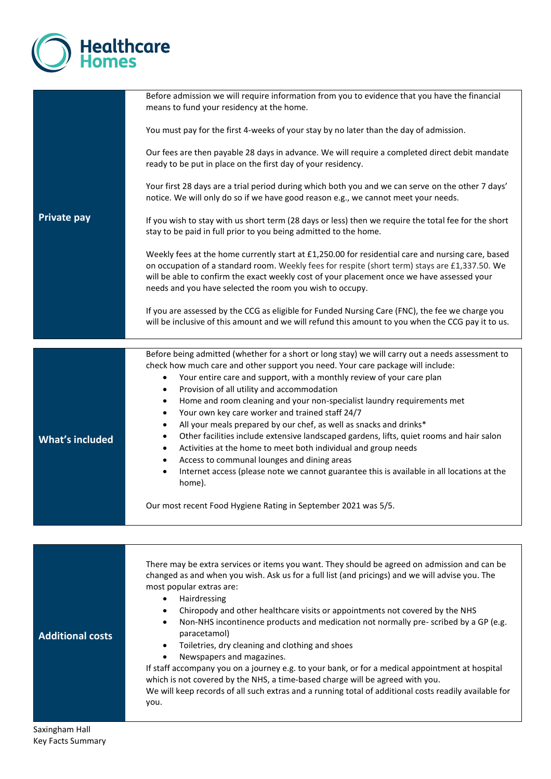

|                         | Before admission we will require information from you to evidence that you have the financial<br>means to fund your residency at the home.                                                                                                                                                                                                                    |
|-------------------------|---------------------------------------------------------------------------------------------------------------------------------------------------------------------------------------------------------------------------------------------------------------------------------------------------------------------------------------------------------------|
|                         | You must pay for the first 4-weeks of your stay by no later than the day of admission.                                                                                                                                                                                                                                                                        |
|                         | Our fees are then payable 28 days in advance. We will require a completed direct debit mandate<br>ready to be put in place on the first day of your residency.                                                                                                                                                                                                |
|                         | Your first 28 days are a trial period during which both you and we can serve on the other 7 days'<br>notice. We will only do so if we have good reason e.g., we cannot meet your needs.                                                                                                                                                                       |
| <b>Private pay</b>      | If you wish to stay with us short term (28 days or less) then we require the total fee for the short<br>stay to be paid in full prior to you being admitted to the home.                                                                                                                                                                                      |
|                         | Weekly fees at the home currently start at £1,250.00 for residential care and nursing care, based<br>on occupation of a standard room. Weekly fees for respite (short term) stays are £1,337.50. We<br>will be able to confirm the exact weekly cost of your placement once we have assessed your<br>needs and you have selected the room you wish to occupy. |
|                         | If you are assessed by the CCG as eligible for Funded Nursing Care (FNC), the fee we charge you<br>will be inclusive of this amount and we will refund this amount to you when the CCG pay it to us.                                                                                                                                                          |
|                         | Before being admitted (whether for a short or long stay) we will carry out a needs assessment to                                                                                                                                                                                                                                                              |
|                         | check how much care and other support you need. Your care package will include:<br>Your entire care and support, with a monthly review of your care plan<br>$\bullet$<br>Provision of all utility and accommodation<br>$\bullet$                                                                                                                              |
|                         | Home and room cleaning and your non-specialist laundry requirements met<br>$\bullet$<br>Your own key care worker and trained staff 24/7<br>$\bullet$                                                                                                                                                                                                          |
|                         | All your meals prepared by our chef, as well as snacks and drinks*<br>$\bullet$                                                                                                                                                                                                                                                                               |
| <b>What's included</b>  | Other facilities include extensive landscaped gardens, lifts, quiet rooms and hair salon<br>$\bullet$                                                                                                                                                                                                                                                         |
|                         | Activities at the home to meet both individual and group needs<br>$\bullet$<br>Access to communal lounges and dining areas<br>$\bullet$                                                                                                                                                                                                                       |
|                         | Internet access (please note we cannot guarantee this is available in all locations at the<br>$\bullet$<br>home).                                                                                                                                                                                                                                             |
|                         | Our most recent Food Hygiene Rating in September 2021 was 5/5.                                                                                                                                                                                                                                                                                                |
|                         |                                                                                                                                                                                                                                                                                                                                                               |
|                         | There may be extra services or items you want. They should be agreed on admission and can be<br>changed as and when you wish. Ask us for a full list (and pricings) and we will advise you. The<br>most popular extras are:                                                                                                                                   |
|                         | Hairdressing<br>$\bullet$<br>Chiropody and other healthcare visits or appointments not covered by the NHS<br>$\bullet$                                                                                                                                                                                                                                        |
|                         | Non-NHS incontinence products and medication not normally pre-scribed by a GP (e.g.<br>٠<br>paracetamol)                                                                                                                                                                                                                                                      |
| <b>Additional costs</b> | Toiletries, dry cleaning and clothing and shoes<br>٠                                                                                                                                                                                                                                                                                                          |
|                         | Newspapers and magazines.<br>If staff accompany you on a journey e.g. to your bank, or for a medical appointment at hospital                                                                                                                                                                                                                                  |

which is not covered by the NHS, a time-based charge will be agreed with you. We will keep records of all such extras and a running total of additional costs readily available for you.